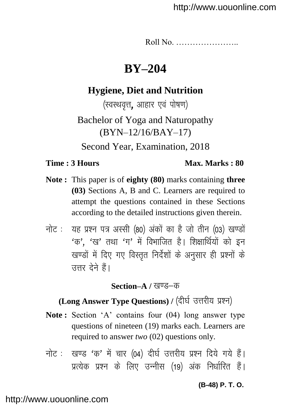Roll No. …………………..

# **BY–204**

## **Hygiene, Diet and Nutrition**

(स्वस्थवृत्त, आहार एवं पोषण) Bachelor of Yoga and Naturopathy (BYN–12/16/BAY–17) Second Year, Examination, 2018

## **Time : 3 Hours Max. Marks : 80**

- **Note :** This paper is of **eighty (80)** marks containing **three (03)** Sections A, B and C. Learners are required to attempt the questions contained in these Sections according to the detailed instructions given therein.
- नोट: यह प्रश्न पत्र अस्सी (80) अंकों का है जो तीन (03) खण्डों  $4\pi$ '.  $4\pi$ ' तथा  $4\pi$ ' में विभाजित है। शिक्षार्थियों को इन खण्डों में दिए गए विस्तुत निर्देशों के अनुसार ही प्रश्नों के उत्तर देने हैं।

## **Section–A** / खण्ड–क

# **(Long Answer Type Questions) / (दीर्घ उत्तरीय प्रश्न)**

- **Note :** Section 'A' contains four (04) long answer type questions of nineteen (19) marks each. Learners are required to answer *two* (02) questions only.
- नोट: खण्ड 'क' में चार (04) दीर्घ उत्तरीय प्रश्न दिये गये हैं। प्रत्येक प्रश्न के लिए उन्नीस (19) अंक निर्धारित हैं।

**(B-48) P. T. O.**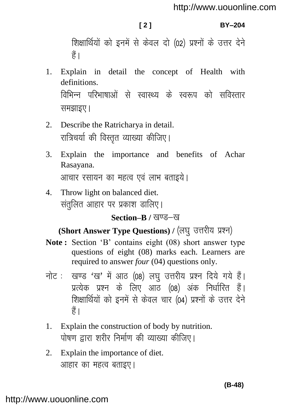### **[ 2 ] BY–204**

शिक्षार्थियों को इनमें से केवल दो (02) प्रश्नों के उत्तर देने हैं।

- 1. Explain in detail the concept of Health with definitions. विभिन्न परिभाषाओं से स्वास्थ्य के स्वरूप को सविस्तार समझाइए।
- 2. Describe the Ratricharya in detail. रात्रिचर्या की विस्तृत व्याख्या कीजिए।
- 3. Explain the importance and benefits of Achar Rasayana. आचार रसायन का महत्व एवं लाभ बताइये।
- 4. Throw light on balanced diet. 'संतुलित आहार पर प्रकाश डालिए।

## **Section–B / खण्ड–ख**

# (Short Answer Type Questions) / (लघु उत्तरीय प्रश्न)

- **Note :** Section 'B' contains eight (08) short answer type questions of eight (08) marks each. Learners are required to answer *four* (04) questions only.
- नोट: खण्ड 'ख' में आठ (08) लघु उत्तरीय प्रश्न दिये गये हैं। प्रत्येक प्रश्न के लिए आठ (08) अंक निर्धारित हैं। शिक्षार्थियों को इनमें से केवल चार (04) प्रश्नों के उत्तर देने  $\frac{4}{5}$
- 1. Explain the construction of body by nutrition. पोषण द्वारा शरीर निर्माण की व्याख्या कीजिए।
- 2. Explain the importance of diet. आहार का महत्व बताइए।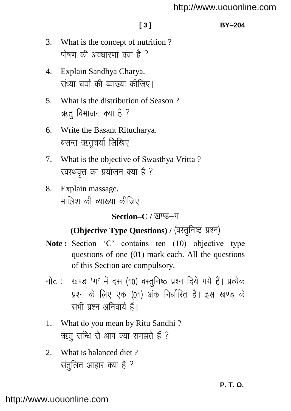### **[ 3 ] BY–204**

- 3. What is the concept of nutrition ? पोषण की अवधारणा क्या है ?
- 4. Explain Sandhya Charya. संध्या चर्या की व्याख्या कीजिए।
- 5. What is the distribution of Season ? ऋत विभाजन क्या है ?
- 6. Write the Basant Ritucharya. बसन्त ऋतुचर्या लिखिए।
- 7. What is the objective of Swasthya Vritta ? स्वस्थवृत्त का प्रयोजन क्या है ?
- 8. Explain massage. मालिश की व्याख्या कीजिए।

## Section–C / खण्ड–ग

# **(Objective Type Questions) / (वस्तुनिष्ठ प्रश्न)**

- Note: Section 'C' contains ten (10) objective type questions of one (01) mark each. All the questions of this Section are compulsory.
- नोट: खण्ड 'ग' में दस (10) वस्तुनिष्ठ प्रश्न दिये गये हैं। प्रत्येक प्रश्न के लिए एक (01) अंक निर्धारित है। इस खण्ड के सभी प्रश्न अनिवार्य हैं।
- 1. What do you mean by Ritu Sandhi ? ऋतू सन्धि से आप क्या समझते हैं ?
- 2. What is balanced diet ? संतुलित आहार क्या है ?